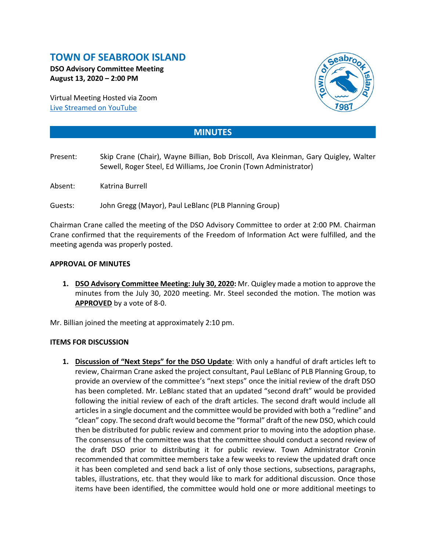# **TOWN OF SEABROOK ISLAND**

**DSO Advisory Committee Meeting August 13, 2020 – 2:00 PM**

Virtual Meeting Hosted via Zoom [Live Streamed on](https://www.youtube.com/channel/UCIkF87knEApHD1q0kGlaGZg) YouTube



## **MINUTES**

- Present: Skip Crane (Chair), Wayne Billian, Bob Driscoll, Ava Kleinman, Gary Quigley, Walter Sewell, Roger Steel, Ed Williams, Joe Cronin (Town Administrator)
- Absent: Katrina Burrell

Guests: John Gregg (Mayor), Paul LeBlanc (PLB Planning Group)

Chairman Crane called the meeting of the DSO Advisory Committee to order at 2:00 PM. Chairman Crane confirmed that the requirements of the Freedom of Information Act were fulfilled, and the meeting agenda was properly posted.

#### **APPROVAL OF MINUTES**

**1. DSO Advisory Committee Meeting: July 30, 2020:** Mr. Quigley made a motion to approve the minutes from the July 30, 2020 meeting. Mr. Steel seconded the motion. The motion was **APPROVED** by a vote of 8-0.

Mr. Billian joined the meeting at approximately 2:10 pm.

### **ITEMS FOR DISCUSSION**

**1. Discussion of "Next Steps" for the DSO Update**: With only a handful of draft articles left to review, Chairman Crane asked the project consultant, Paul LeBlanc of PLB Planning Group, to provide an overview of the committee's "next steps" once the initial review of the draft DSO has been completed. Mr. LeBlanc stated that an updated "second draft" would be provided following the initial review of each of the draft articles. The second draft would include all articles in a single document and the committee would be provided with both a "redline" and "clean" copy. The second draft would become the "formal" draft of the new DSO, which could then be distributed for public review and comment prior to moving into the adoption phase. The consensus of the committee was that the committee should conduct a second review of the draft DSO prior to distributing it for public review. Town Administrator Cronin recommended that committee members take a few weeks to review the updated draft once it has been completed and send back a list of only those sections, subsections, paragraphs, tables, illustrations, etc. that they would like to mark for additional discussion. Once those items have been identified, the committee would hold one or more additional meetings to